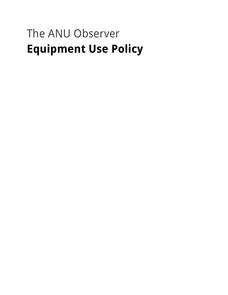# The ANU Observer **Equipment Use Policy**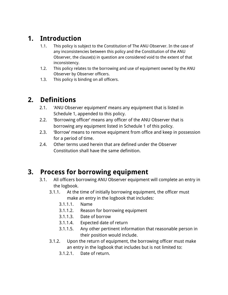### **1. Introduction**

- 1.1. This policy is subject to the Constitution of The ANU Observer. In the case of any inconsistencies between this policy and the Constitution of the ANU Observer, the clause(s) in question are considered void to the extent of that inconsistency.
- 1.2. This policy relates to the borrowing and use of equipment owned by the ANU Observer by Observer officers.
- 1.3. This policy is binding on all officers.

### **2. Definitions**

- 2.1. 'ANU Observer equipment' means any equipment that is listed in Schedule 1, appended to this policy.
- 2.2. 'Borrowing officer' means any officer of the ANU Observer that is borrowing any equipment listed in Schedule 1 of this policy.
- 2.3. 'Borrow' means to remove equipment from office and keep in possession for a period of time.
- 2.4. Other terms used herein that are defined under the Observer Constitution shall have the same definition.

### **3. Process for borrowing equipment**

- 3.1. All officers borrowing ANU Observer equipment will complete an entry in the logbook.
	- 3.1.1. At the time of initially borrowing equipment, the officer must make an entry in the logbook that includes:
		- 3.1.1.1. Name
		- 3.1.1.2. Reason for borrowing equipment
		- 3.1.1.3. Date of borrow
		- 3.1.1.4. Expected date of return
		- 3.1.1.5. Any other pertinent information that reasonable person in their position would include.
	- 3.1.2. Upon the return of equipment, the borrowing officer must make an entry in the logbook that includes but is not limited to:
		- 3.1.2.1. Date of return.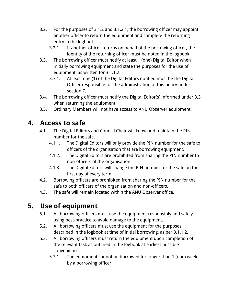- 3.2. For the purposes of 3.1.2 and 3.1.2.1, the borrowing officer may appoint another officer to return the equipment and complete the returning entry in the logbook.
	- 3.2.1. If another officer returns on behalf of the borrowing officer, the identity of the returning officer must be noted in the logbook.
- 3.3. The borrowing officer must notify at least 1 (one) Digital Editor when initially borrowing equipment and state the purposes for the use of equipment, as written for 3.1.1.2.
	- 3.3.1. At least one (1) of the Digital Editors notified must be the Digital Officer responsible for the administration of this policy under section 7.
- 3.4. The borrowing officer must notify the Digital Editor(s) informed under 3.3 when returning the equipment.
- 3.5. Ordinary Members will not have access to ANU Observer equipment.

## **4. Access to safe**

- 4.1. The Digital Editors and Council Chair will know and maintain the PIN number for the safe.
	- 4.1.1. The Digital Editors will only provide the PIN number for the safe to officers of the organisation that are borrowing equipment.
	- 4.1.2. The Digital Editors are prohibited from sharing the PIN number to non-officers of the organisation.
	- 4.1.3. The Digital Editors will change the PIN number for the safe on the first day of every term.
- 4.2. Borrowing officers are prohibited from sharing the PIN number for the safe to both officers of the organisation and non-officers.
- 4.3. The safe will remain located within the ANU Observer office.

## **5. Use of equipment**

- 5.1. All borrowing officers must use the equipment responsibly and safely, using best-practice to avoid damage to the equipment.
- 5.2. All borrowing officers must use the equipment for the purposes described in the logbook at time of initial borrowing, as per 3.1.1.2.
- 5.3. All borrowing officers must return the equipment upon completion of the relevant task as outlined in the logbook at earliest possible convenience.
	- 5.3.1. The equipment cannot be borrowed for longer than 1 (one) week by a borrowing officer.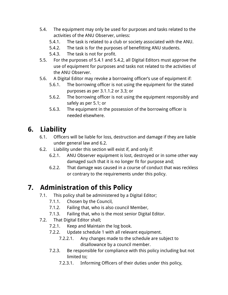- 5.4. The equipment may only be used for purposes and tasks related to the activities of the ANU Observer, unless:
	- 5.4.1. The task is related to a club or society associated with the ANU.
	- 5.4.2. The task is for the purposes of benefitting ANU students.
	- 5.4.3. The task is not for profit.
- 5.5. For the purposes of 5.4.1 and 5.4.2, all Digital Editors must approve the use of equipment for purposes and tasks not related to the activities of the ANU Observer.
- 5.6. A Digital Editor may revoke a borrowing officer's use of equipment if:
	- 5.6.1. The borrowing officer is not using the equipment for the stated purposes as per 3.1.1.2 or 3.3; or
	- 5.6.2. The borrowing officer is not using the equipment responsibly and safely as per 5.1; or
	- 5.6.3. The equipment in the possession of the borrowing officer is needed elsewhere.

# **6. Liability**

- 6.1. Officers will be liable for loss, destruction and damage if they are liable under general law and 6.2.
- 6.2. Liability under this section will exist if, and only if:
	- 6.2.1. ANU Observer equipment is lost, destroyed or in some other way damaged such that it is no longer fit for purpose and;
	- 6.2.2. That damage was caused in a course of conduct that was reckless or contrary to the requirements under this policy.

## **7. Administration of this Policy**

- 7.1. This policy shall be administered by a Digital Editor;
	- 7.1.1. Chosen by the Council,
	- 7.1.2. Failing that, who is also council Member,
	- 7.1.3. Failing that, who is the most senior Digital Editor.
- 7.2. That Digital Editor shall;
	- 7.2.1. Keep and Maintain the log book.
	- 7.2.2. Update schedule 1 with all relevant equipment.
		- 7.2.2.1. Any changes made to the schedule are subject to disallowance by a council member.
	- 7.2.3. Be responsible for compliance with this policy including but not limited to;
		- 7.2.3.1. Informing Officers of their duties under this policy,